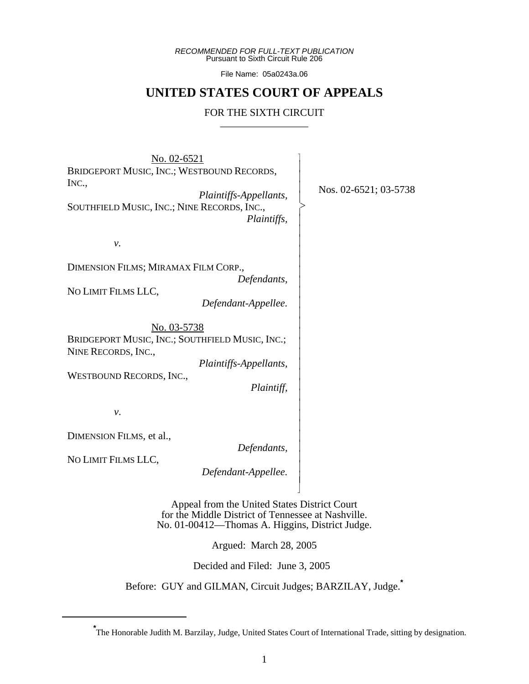*RECOMMENDED FOR FULL-TEXT PUBLICATION* Pursuant to Sixth Circuit Rule 206

File Name: 05a0243a.06

# **UNITED STATES COURT OF APPEALS**

### FOR THE SIXTH CIRCUIT

 $\overline{\phantom{a}}$ - - - -  $\succ$ |<br>|<br>| - - - - - - - - - - - - - - - - - - - - - - - - - - N

No. 02-6521 BRIDGEPORT MUSIC, INC.; WESTBOUND RECORDS, INC., *Plaintiffs-Appellants,*

SOUTHFIELD MUSIC, INC.; NINE RECORDS, INC., *Plaintiffs,*

*v.*

DIMENSION FILMS; MIRAMAX FILM CORP.,

*Defendants,*

NO LIMIT FILMS LLC,

*Defendant-Appellee.*

No. 03-5738 BRIDGEPORT MUSIC, INC.; SOUTHFIELD MUSIC, INC.; NINE RECORDS, INC.,

*Plaintiffs-Appellants,*

WESTBOUND RECORDS, INC.,

*Plaintiff,*

*v*.

DIMENSION FILMS, et al.,

*Defendants,*

NO LIMIT FILMS LLC,

*Defendant-Appellee.*

Appeal from the United States District Court for the Middle District of Tennessee at Nashville. No. 01-00412—Thomas A. Higgins, District Judge.

Argued: March 28, 2005

Decided and Filed: June 3, 2005

Before: GUY and GILMAN, Circuit Judges; BARZILAY, Judge.**\***

Nos. 02-6521; 03-5738

**<sup>\*</sup>** The Honorable Judith M. Barzilay, Judge, United States Court of International Trade, sitting by designation.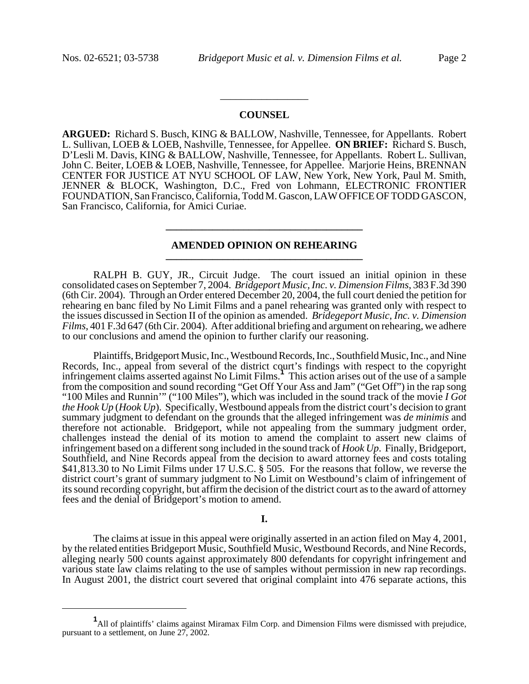### **COUNSEL**

\_\_\_\_\_\_\_\_\_\_\_\_\_\_\_\_\_

**ARGUED:** Richard S. Busch, KING & BALLOW, Nashville, Tennessee, for Appellants. Robert L. Sullivan, LOEB & LOEB, Nashville, Tennessee, for Appellee. **ON BRIEF:** Richard S. Busch, D'Lesli M. Davis, KING & BALLOW, Nashville, Tennessee, for Appellants. Robert L. Sullivan, John C. Beiter, LOEB & LOEB, Nashville, Tennessee, for Appellee. Marjorie Heins, BRENNAN CENTER FOR JUSTICE AT NYU SCHOOL OF LAW, New York, New York, Paul M. Smith, JENNER & BLOCK, Washington, D.C., Fred von Lohmann, ELECTRONIC FRONTIER FOUNDATION, San Francisco, California, Todd M. Gascon, LAW OFFICE OF TODD GASCON, San Francisco, California, for Amici Curiae.

### **AMENDED OPINION ON REHEARING \_\_\_\_\_\_\_\_\_\_\_\_\_\_\_\_\_\_\_\_\_\_\_\_\_\_\_\_\_\_\_\_\_\_\_\_\_\_**

**\_\_\_\_\_\_\_\_\_\_\_\_\_\_\_\_\_\_\_\_\_\_\_\_\_\_\_\_\_\_\_\_\_\_\_\_\_\_**

RALPH B. GUY, JR., Circuit Judge. The court issued an initial opinion in these consolidated cases on September 7, 2004. *Bridgeport Music, Inc. v. Dimension Films*, 383 F.3d 390 (6th Cir. 2004). Through an Order entered December 20, 2004, the full court denied the petition for rehearing en banc filed by No Limit Films and a panel rehearing was granted only with respect to the issues discussed in Section II of the opinion as amended. *Bridegeport Music, Inc. v. Dimension Films*, 401 F.3d 647 (6th Cir. 2004). After additional briefing and argument on rehearing, we adhere to our conclusions and amend the opinion to further clarify our reasoning.

Plaintiffs, Bridgeport Music, Inc., Westbound Records, Inc., Southfield Music, Inc., and Nine Records, Inc., appeal from several of the district court's findings with respect to the copyright infringement claims asserted against No Limit Films.**<sup>1</sup>** This action arises out of the use of a sample from the composition and sound recording "Get Off Your Ass and Jam" ("Get Off") in the rap song "100 Miles and Runnin'" ("100 Miles"), which was included in the sound track of the movie *I Got the Hook Up* (*Hook Up*). Specifically, Westbound appeals from the district court's decision to grant summary judgment to defendant on the grounds that the alleged infringement was *de minimis* and therefore not actionable. Bridgeport, while not appealing from the summary judgment order, challenges instead the denial of its motion to amend the complaint to assert new claims of infringement based on a different song included in the sound track of *Hook Up*. Finally, Bridgeport, Southfield, and Nine Records appeal from the decision to award attorney fees and costs totaling \$41,813.30 to No Limit Films under 17 U.S.C. § 505. For the reasons that follow, we reverse the district court's grant of summary judgment to No Limit on Westbound's claim of infringement of its sound recording copyright, but affirm the decision of the district court as to the award of attorney fees and the denial of Bridgeport's motion to amend.

#### **I.**

The claims at issue in this appeal were originally asserted in an action filed on May 4, 2001, by the related entities Bridgeport Music, Southfield Music, Westbound Records, and Nine Records, alleging nearly 500 counts against approximately 800 defendants for copyright infringement and various state law claims relating to the use of samples without permission in new rap recordings. In August 2001, the district court severed that original complaint into 476 separate actions, this

<sup>&</sup>lt;sup>1</sup> All of plaintiffs' claims against Miramax Film Corp. and Dimension Films were dismissed with prejudice, pursuant to a settlement, on June 27, 2002.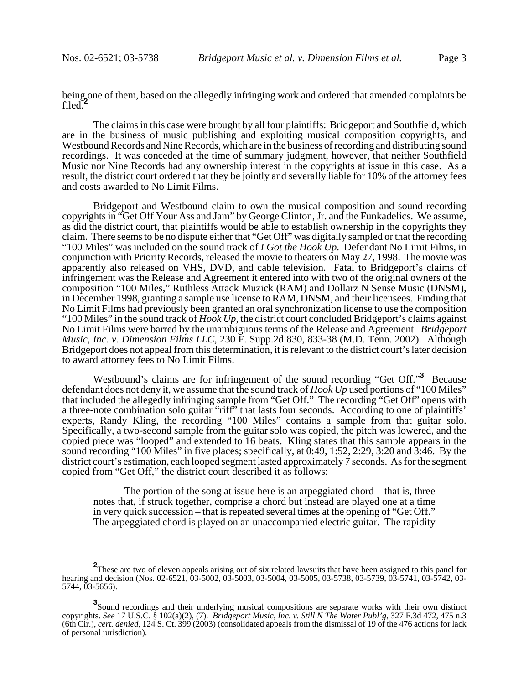being one of them, based on the allegedly infringing work and ordered that amended complaints be filed.<sup>2</sup>

The claims in this case were brought by all four plaintiffs: Bridgeport and Southfield, which are in the business of music publishing and exploiting musical composition copyrights, and Westbound Records and Nine Records, which are in the business of recording and distributing sound recordings. It was conceded at the time of summary judgment, however, that neither Southfield Music nor Nine Records had any ownership interest in the copyrights at issue in this case. As a result, the district court ordered that they be jointly and severally liable for 10% of the attorney fees and costs awarded to No Limit Films.

Bridgeport and Westbound claim to own the musical composition and sound recording copyrights in "Get Off Your Ass and Jam" by George Clinton, Jr. and the Funkadelics. We assume, as did the district court, that plaintiffs would be able to establish ownership in the copyrights they claim. There seems to be no dispute either that "Get Off" was digitally sampled or that the recording "100 Miles" was included on the sound track of *I Got the Hook Up*. Defendant No Limit Films, in conjunction with Priority Records, released the movie to theaters on May 27, 1998. The movie was apparently also released on VHS, DVD, and cable television. Fatal to Bridgeport's claims of infringement was the Release and Agreement it entered into with two of the original owners of the composition "100 Miles," Ruthless Attack Muzick (RAM) and Dollarz N Sense Music (DNSM), in December 1998, granting a sample use license to RAM, DNSM, and their licensees. Finding that No Limit Films had previously been granted an oral synchronization license to use the composition "100 Miles" in the sound track of *Hook Up*, the district court concluded Bridgeport's claims against No Limit Films were barred by the unambiguous terms of the Release and Agreement. *Bridgeport Music, Inc. v. Dimension Films LLC*, 230 F. Supp.2d 830, 833-38 (M.D. Tenn. 2002). Although Bridgeport does not appeal from this determination, it is relevant to the district court's later decision to award attorney fees to No Limit Films.

Westbound's claims are for infringement of the sound recording "Get Off."<sup>3</sup> Because defendant does not deny it, we assume that the sound track of *Hook Up* used portions of "100 Miles" that included the allegedly infringing sample from "Get Off." The recording "Get Off" opens with a three-note combination solo guitar "riff" that lasts four seconds. According to one of plaintiffs' experts, Randy Kling, the recording "100 Miles" contains a sample from that guitar solo. Specifically, a two-second sample from the guitar solo was copied, the pitch was lowered, and the copied piece was "looped" and extended to 16 beats. Kling states that this sample appears in the sound recording "100 Miles" in five places; specifically, at  $\overline{0:}49, 1:52, 2:29, 3:20$  and  $\overline{3:}46$ . By the district court's estimation, each looped segment lasted approximately 7 seconds. As for the segment copied from "Get Off," the district court described it as follows:

The portion of the song at issue here is an arpeggiated chord – that is, three notes that, if struck together, comprise a chord but instead are played one at a time in very quick succession – that is repeated several times at the opening of "Get Off." The arpeggiated chord is played on an unaccompanied electric guitar. The rapidity

**<sup>2</sup>** These are two of eleven appeals arising out of six related lawsuits that have been assigned to this panel for hearing and decision (Nos. 02-6521, 03-5002, 03-5003, 03-5004, 03-5005, 03-5738, 03-5739, 03-5741, 03-5742, 03-5744, 03-5656).

**<sup>3</sup>** Sound recordings and their underlying musical compositions are separate works with their own distinct copyrights. *See* 17 U.S.C. § 102(a)(2), (7). *Bridgeport Music, Inc. v. Still N The Water Publ'g*, 327 F.3d 472, 475 n.3 (6th Cir.), *cert. denied*, 124 S. Ct. 399 (2003) (consolidated appeals from the dismissal of 19 of the 476 actions for lack of personal jurisdiction).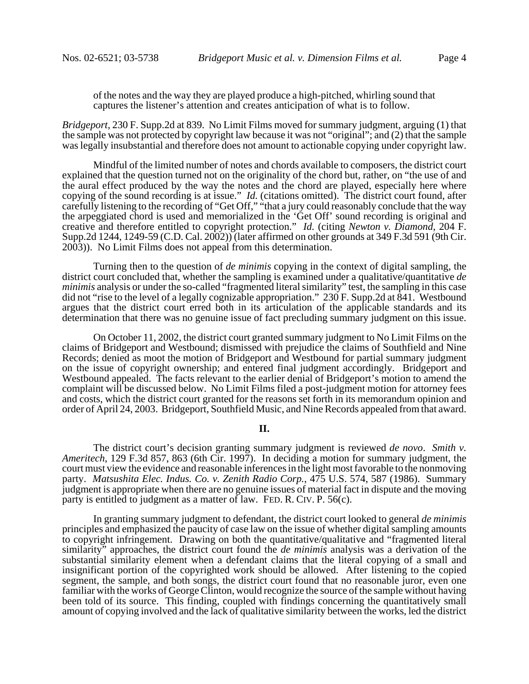of the notes and the way they are played produce a high-pitched, whirling sound that captures the listener's attention and creates anticipation of what is to follow.

*Bridgeport*, 230 F. Supp.2d at 839. No Limit Films moved for summary judgment, arguing (1) that the sample was not protected by copyright law because it was not "original"; and (2) that the sample was legally insubstantial and therefore does not amount to actionable copying under copyright law.

Mindful of the limited number of notes and chords available to composers, the district court explained that the question turned not on the originality of the chord but, rather, on "the use of and the aural effect produced by the way the notes and the chord are played, especially here where copying of the sound recording is at issue." *Id.* (citations omitted). The district court found, after carefully listening to the recording of "Get Off," "that a jury could reasonably conclude that the way the arpeggiated chord is used and memorialized in the 'Get Off' sound recording is original and creative and therefore entitled to copyright protection." *Id.* (citing *Newton v. Diamond*, 204 F. Supp.2d 1244, 1249-59 (C.D. Cal. 2002)) (later affirmed on other grounds at 349 F.3d 591 (9th Cir. 2003)). No Limit Films does not appeal from this determination.

Turning then to the question of *de minimis* copying in the context of digital sampling, the district court concluded that, whether the sampling is examined under a qualitative/quantitative *de minimis* analysis or under the so-called "fragmented literal similarity" test, the sampling in this case did not "rise to the level of a legally cognizable appropriation." 230 F. Supp.2d at 841. Westbound argues that the district court erred both in its articulation of the applicable standards and its determination that there was no genuine issue of fact precluding summary judgment on this issue.

On October 11, 2002, the district court granted summary judgment to No Limit Films on the claims of Bridgeport and Westbound; dismissed with prejudice the claims of Southfield and Nine Records; denied as moot the motion of Bridgeport and Westbound for partial summary judgment on the issue of copyright ownership; and entered final judgment accordingly. Bridgeport and Westbound appealed. The facts relevant to the earlier denial of Bridgeport's motion to amend the complaint will be discussed below. No Limit Films filed a post-judgment motion for attorney fees and costs, which the district court granted for the reasons set forth in its memorandum opinion and order of April 24, 2003. Bridgeport, Southfield Music, and Nine Records appealed from that award.

#### **II.**

The district court's decision granting summary judgment is reviewed *de novo*. *Smith v. Ameritech*, 129 F.3d 857, 863 (6th Cir. 1997). In deciding a motion for summary judgment, the court must view the evidence and reasonable inferences in the light most favorable to the nonmoving party. *Matsushita Elec. Indus. Co. v. Zenith Radio Corp.*, 475 U.S. 574, 587 (1986). Summary judgment is appropriate when there are no genuine issues of material fact in dispute and the moving party is entitled to judgment as a matter of law. FED. R. CIV. P. 56(c).

In granting summary judgment to defendant, the district court looked to general *de minimis* principles and emphasized the paucity of case law on the issue of whether digital sampling amounts to copyright infringement. Drawing on both the quantitative/qualitative and "fragmented literal similarity" approaches, the district court found the *de minimis* analysis was a derivation of the substantial similarity element when a defendant claims that the literal copying of a small and insignificant portion of the copyrighted work should be allowed. After listening to the copied segment, the sample, and both songs, the district court found that no reasonable juror, even one familiar with the works of George Clinton, would recognize the source of the sample without having been told of its source. This finding, coupled with findings concerning the quantitatively small amount of copying involved and the lack of qualitative similarity between the works, led the district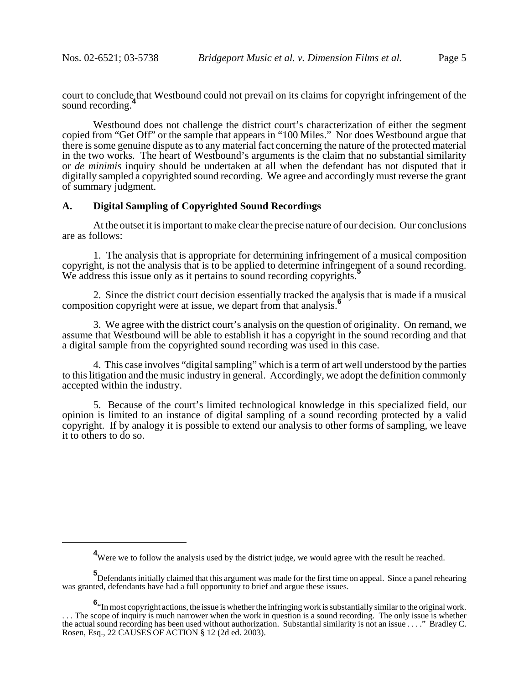court to conclude that Westbound could not prevail on its claims for copyright infringement of the sound recording.**<sup>4</sup>**

Westbound does not challenge the district court's characterization of either the segment copied from "Get Off" or the sample that appears in "100 Miles." Nor does Westbound argue that there is some genuine dispute as to any material fact concerning the nature of the protected material in the two works. The heart of Westbound's arguments is the claim that no substantial similarity or *de minimis* inquiry should be undertaken at all when the defendant has not disputed that it digitally sampled a copyrighted sound recording. We agree and accordingly must reverse the grant of summary judgment.

# **A. Digital Sampling of Copyrighted Sound Recordings**

At the outset it is important to make clear the precise nature of our decision. Our conclusions are as follows:

1. The analysis that is appropriate for determining infringement of a musical composition copyright, is not the analysis that is to be applied to determine infringement of a sound recording. We address this issue only as it pertains to sound recording copyrights.<sup>3</sup>

2. Since the district court decision essentially tracked the analysis that is made if a musical composition copyright were at issue, we depart from that analysis.**<sup>6</sup>**

3. We agree with the district court's analysis on the question of originality. On remand, we assume that Westbound will be able to establish it has a copyright in the sound recording and that a digital sample from the copyrighted sound recording was used in this case.

4. This case involves "digital sampling" which is a term of art well understood by the parties to this litigation and the music industry in general. Accordingly, we adopt the definition commonly accepted within the industry.

5. Because of the court's limited technological knowledge in this specialized field, our opinion is limited to an instance of digital sampling of a sound recording protected by a valid copyright. If by analogy it is possible to extend our analysis to other forms of sampling, we leave it to others to do so.

<sup>&</sup>lt;sup>4</sup>Were we to follow the analysis used by the district judge, we would agree with the result he reached.

**<sup>5</sup>** Defendants initially claimed that this argument was made for the first time on appeal. Since a panel rehearing was granted, defendants have had a full opportunity to brief and argue these issues.

**<sup>6</sup>** "In most copyright actions, the issue is whether the infringing work is substantially similar to the original work. . . . The scope of inquiry is much narrower when the work in question is a sound recording. The only issue is whether the actual sound recording has been used without authorization. Substantial similarity is not an issue . . . ." Bradley C. Rosen, Esq., 22 CAUSES OF ACTION § 12 (2d ed. 2003).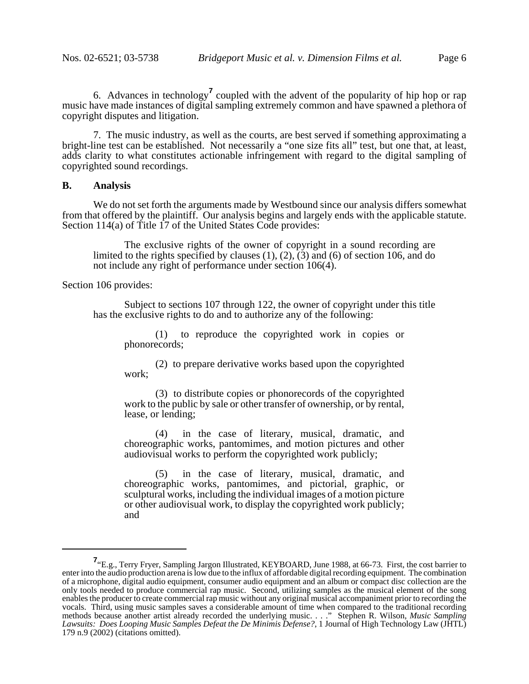6. Advances in technology**<sup>7</sup>** coupled with the advent of the popularity of hip hop or rap music have made instances of digital sampling extremely common and have spawned a plethora of copyright disputes and litigation.

7. The music industry, as well as the courts, are best served if something approximating a bright-line test can be established. Not necessarily a "one size fits all" test, but one that, at least, adds clarity to what constitutes actionable infringement with regard to the digital sampling of copyrighted sound recordings.

### **B. Analysis**

We do not set forth the arguments made by Westbound since our analysis differs somewhat from that offered by the plaintiff. Our analysis begins and largely ends with the applicable statute. Section 114(a) of Title 17 of the United States Code provides:

The exclusive rights of the owner of copyright in a sound recording are limited to the rights specified by clauses  $(1)$ ,  $(2)$ ,  $(3)$  and  $(6)$  of section 106, and do not include any right of performance under section 106(4).

Section 106 provides:

Subject to sections 107 through 122, the owner of copyright under this title has the exclusive rights to do and to authorize any of the following:

(1) to reproduce the copyrighted work in copies or phonorecords;

(2) to prepare derivative works based upon the copyrighted work;

(3) to distribute copies or phonorecords of the copyrighted work to the public by sale or other transfer of ownership, or by rental, lease, or lending;

(4) in the case of literary, musical, dramatic, and choreographic works, pantomimes, and motion pictures and other audiovisual works to perform the copyrighted work publicly;

(5) in the case of literary, musical, dramatic, and choreographic works, pantomimes, and pictorial, graphic, or sculptural works, including the individual images of a motion picture or other audiovisual work, to display the copyrighted work publicly; and

**<sup>7</sup>** "E.g., Terry Fryer, Sampling Jargon Illustrated, KEYBOARD, June 1988, at 66-73. First, the cost barrier to enter into the audio production arena is low due to the influx of affordable digital recording equipment. The combination of a microphone, digital audio equipment, consumer audio equipment and an album or compact disc collection are the only tools needed to produce commercial rap music. Second, utilizing samples as the musical element of the song enables the producer to create commercial rap music without any original musical accompaniment prior to recording the vocals. Third, using music samples saves a considerable amount of time when compared to the traditional recording methods because another artist already recorded the underlying music. . . ." Stephen R. Wilson, *Music Sampling Lawsuits: Does Looping Music Samples Defeat the De Minimis Defense?*, 1 Journal of High Technology Law (JHTL) 179 n.9 (2002) (citations omitted).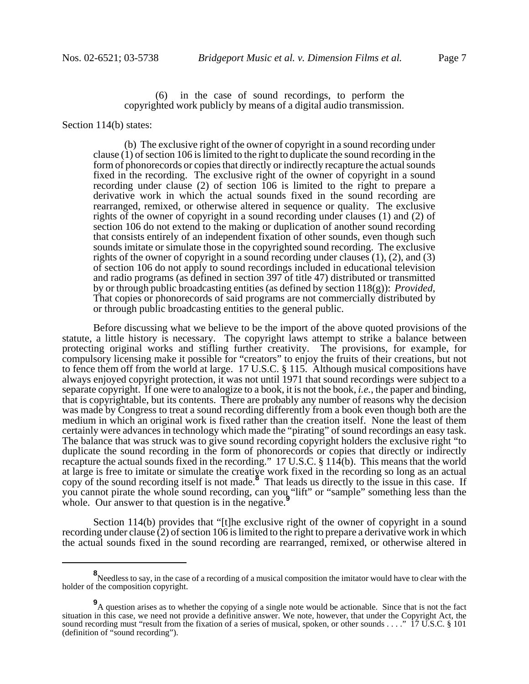(6) in the case of sound recordings, to perform the copyrighted work publicly by means of a digital audio transmission.

Section 114(b) states:

(b) The exclusive right of the owner of copyright in a sound recording under clause (1) of section 106 is limited to the right to duplicate the sound recording in the form of phonorecords or copies that directly or indirectly recapture the actual sounds fixed in the recording. The exclusive right of the owner of copyright in a sound recording under clause (2) of section 106 is limited to the right to prepare a derivative work in which the actual sounds fixed in the sound recording are rearranged, remixed, or otherwise altered in sequence or quality. The exclusive rights of the owner of copyright in a sound recording under clauses (1) and (2) of section 106 do not extend to the making or duplication of another sound recording that consists entirely of an independent fixation of other sounds, even though such sounds imitate or simulate those in the copyrighted sound recording. The exclusive rights of the owner of copyright in a sound recording under clauses  $(1)$ ,  $(2)$ , and  $(3)$ of section 106 do not apply to sound recordings included in educational television and radio programs (as defined in section 397 of title 47) distributed or transmitted by or through public broadcasting entities (as defined by section 118(g)): *Provided*, That copies or phonorecords of said programs are not commercially distributed by or through public broadcasting entities to the general public.

Before discussing what we believe to be the import of the above quoted provisions of the statute, a little history is necessary. The copyright laws attempt to strike a balance between protecting original works and stifling further creativity. The provisions, for example, for compulsory licensing make it possible for "creators" to enjoy the fruits of their creations, but not to fence them off from the world at large. 17 U.S.C. § 115. Although musical compositions have always enjoyed copyright protection, it was not until 1971 that sound recordings were subject to a separate copyright. If one were to analogize to a book, it is not the book, *i.e.*, the paper and binding, that is copyrightable, but its contents. There are probably any number of reasons why the decision was made by Congress to treat a sound recording differently from a book even though both are the medium in which an original work is fixed rather than the creation itself. None the least of them certainly were advances in technology which made the "pirating" of sound recordings an easy task. The balance that was struck was to give sound recording copyright holders the exclusive right "to duplicate the sound recording in the form of phonorecords or copies that directly or indirectly recapture the actual sounds fixed in the recording." 17 U.S.C. § 114(b). This means that the world at large is free to imitate or simulate the creative work fixed in the recording so long as an actual copy of the sound recording itself is not made.**<sup>8</sup>** That leads us directly to the issue in this case. If you cannot pirate the whole sound recording, can you "lift" or "sample" something less than the whole. Our answer to that question is in the negative.<sup>8</sup>

Section 114(b) provides that "[t]he exclusive right of the owner of copyright in a sound recording under clause (2) of section 106 is limited to the right to prepare a derivative work in which the actual sounds fixed in the sound recording are rearranged, remixed, or otherwise altered in

**<sup>8</sup>** Needless to say, in the case of a recording of a musical composition the imitator would have to clear with the holder of the composition copyright.

**<sup>9</sup>**<br>A question arises as to whether the copying of a single note would be actionable. Since that is not the fact situation in this case, we need not provide a definitive answer. We note, however, that under the Copyright Act, the sound recording must "result from the fixation of a series of musical, spoken, or other sounds . . . ." 17 U.S.C. § 101 (definition of "sound recording").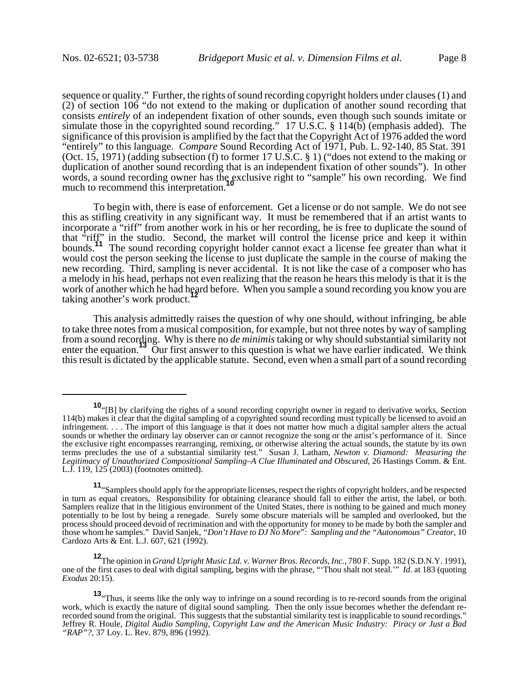sequence or quality." Further, the rights of sound recording copyright holders under clauses (1) and (2) of section 106 "do not extend to the making or duplication of another sound recording that consists *entirely* of an independent fixation of other sounds, even though such sounds imitate or simulate those in the copyrighted sound recording." 17 U.S.C. § 114(b) (emphasis added). The significance of this provision is amplified by the fact that the Copyright Act of 1976 added the word "entirely" to this language. *Compare* Sound Recording Act of 1971, Pub. L. 92-140, 85 Stat. 391 (Oct. 15, 1971) (adding subsection (f) to former 17 U.S.C. § 1) ("does not extend to the making or duplication of another sound recording that is an independent fixation of other sounds"). In other words, a sound recording owner has the exclusive right to "sample" his own recording. We find much to recommend this interpretation.

To begin with, there is ease of enforcement. Get a license or do not sample. We do not see this as stifling creativity in any significant way. It must be remembered that if an artist wants to incorporate a "riff" from another work in his or her recording, he is free to duplicate the sound of that "riff" in the studio. Second, the market will control the license price and keep it within bounds.<sup>11</sup> The sound recording copyright holder cannot exact a license fee greater than what it would cost the person seeking the license to just duplicate the sample in the course of making the new recording. Third, sampling is never accidental. It is not like the case of a composer who has a melody in his head, perhaps not even realizing that the reason he hears this melody is that it is the work of another which he had heard before. When you sample a sound recording you know you are taking another's work product.

This analysis admittedly raises the question of why one should, without infringing, be able to take three notes from a musical composition, for example, but not three notes by way of sampling from a sound recording. Why is there no *de minimis* taking or why should substantial similarity not enter the equation.<sup>13</sup> Our first answer to this question is what we have earlier indicated. We think this result is dictated by the applicable statute. Second, even when a small part of a sound recording

**<sup>12</sup>**The opinion in *Grand Upright Music Ltd. v. Warner Bros. Records, Inc.*, 780 F. Supp. 182 (S.D.N.Y. 1991), one of the first cases to deal with digital sampling, begins with the phrase, "'Thou shalt not steal.'" *Id*. at 183 (quoting *Exodus* 20:15).

**<sup>10</sup>**"[B] by clarifying the rights of a sound recording copyright owner in regard to derivative works, Section 114(b) makes it clear that the digital sampling of a copyrighted sound recording must typically be licensed to avoid an infringement. . . . The import of this language is that it does not matter how much a digital sampler alters the actual sounds or whether the ordinary lay observer can or cannot recognize the song or the artist's performance of it. Since the exclusive right encompasses rearranging, remixing, or otherwise altering the actual sounds, the statute by its own terms precludes the use of a substantial similarity test." Susan J. Latham, *Newton v. Diamond: Measuring the Legitimacy of Unauthorized Compositional Sampling–A Clue Illuminated and Obscured*, 26 Hastings Comm. & Ent. L.J. 119,  $\dot{1}2\dot{5}$  (2003) (footnotes omitted).

**<sup>11</sup>**"Samplers should apply for the appropriate licenses, respect the rights of copyright holders, and be respected in turn as equal creators, Responsibility for obtaining clearance should fall to either the artist, the label, or both. Samplers realize that in the litigious environment of the United States, there is nothing to be gained and much money potentially to be lost by being a renegade. Surely some obscure materials will be sampled and overlooked, but the process should proceed devoid of recrimination and with the opportunity for money to be made by both the sampler and those whom he samples." David Sanjek, *"Don't Have to DJ No More*"*: Sampling and the "Autonomous" Creator*, 10 Cardozo Arts & Ent. L.J. 607, 621 (1992).

**<sup>13</sup>**. Thus, it seems like the only way to infringe on a sound recording is to re-record sounds from the original work, which is exactly the nature of digital sound sampling. Then the only issue becomes whether the defendant rerecorded sound from the original. This suggests that the substantial similarity test is inapplicable to sound recordings." Jeffrey R. Houle, *Digital Audio Sampling, Copyright Law and the American Music Industry: Piracy or Just a Bad "RAP"?*, 37 Loy. L. Rev. 879, 896 (1992).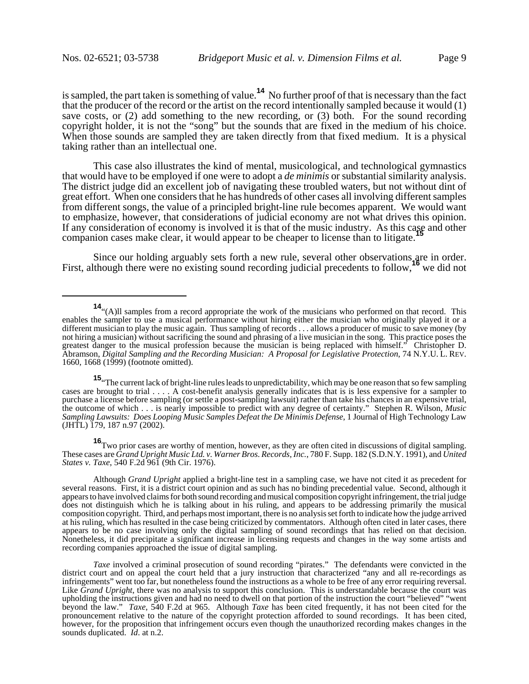is sampled, the part taken is something of value.**14** No further proof of that is necessary than the fact that the producer of the record or the artist on the record intentionally sampled because it would (1) save costs, or (2) add something to the new recording, or (3) both. For the sound recording copyright holder, it is not the "song" but the sounds that are fixed in the medium of his choice. When those sounds are sampled they are taken directly from that fixed medium. It is a physical taking rather than an intellectual one.

This case also illustrates the kind of mental, musicological, and technological gymnastics that would have to be employed if one were to adopt a *de minimis* or substantial similarity analysis. The district judge did an excellent job of navigating these troubled waters, but not without dint of great effort. When one considers that he has hundreds of other cases all involving different samples from different songs, the value of a principled bright-line rule becomes apparent. We would want to emphasize, however, that considerations of judicial economy are not what drives this opinion. If any consideration of economy is involved it is that of the music industry. As this case and other companion cases make clear, it would appear to be cheaper to license than to litigate.

Since our holding arguably sets forth a new rule, several other observations are in order. First, although there were no existing sound recording judicial precedents to follow,**<sup>16</sup>** we did not

**15**. The current lack of bright-line rules leads to unpredictability, which may be one reason that so few sampling cases are brought to trial . . . . A cost-benefit analysis generally indicates that is is less expensive for a sampler to purchase a license before sampling (or settle a post-sampling lawsuit) rather than take his chances in an expensive trial, the outcome of which . . . is nearly impossible to predict with any degree of certainty." Stephen R. Wilson, *Music Sampling Lawsuits: Does Looping Music Samples Defeat the De Minimis Defense*, 1 Journal of High Technology Law (JHTL) 179, 187 n.97 (2002).

**16**Two prior cases are worthy of mention, however, as they are often cited in discussions of digital sampling. These cases are *Grand Upright Music Ltd. v. Warner Bros. Records*, *Inc.*, 780 F. Supp. 182 (S.D.N.Y. 1991), and *United States v. Taxe*, 540 F.2d 961 (9th Cir. 1976).

Although *Grand Upright* applied a bright-line test in a sampling case, we have not cited it as precedent for several reasons. First, it is a district court opinion and as such has no binding precedential value. Second, although it appears to have involved claims for both sound recording and musical composition copyright infringement, the trial judge does not distinguish which he is talking about in his ruling, and appears to be addressing primarily the musical composition copyright. Third, and perhaps most important, there is no analysis set forth to indicate how the judge arrived at his ruling, which has resulted in the case being criticized by commentators. Although often cited in later cases, there appears to be no case involving only the digital sampling of sound recordings that has relied on that decision. Nonetheless, it did precipitate a significant increase in licensing requests and changes in the way some artists and recording companies approached the issue of digital sampling.

*Taxe* involved a criminal prosecution of sound recording "pirates." The defendants were convicted in the district court and on appeal the court held that a jury instruction that characterized "any and all re-recordings as infringements" went too far, but nonetheless found the instructions as a whole to be free of any error requiring reversal. Like *Grand Upright*, there was no analysis to support this conclusion. This is understandable because the court was upholding the instructions given and had no need to dwell on that portion of the instruction the court "believed" "went beyond the law." *Taxe*, 540 F.2d at 965. Although *Taxe* has been cited frequently, it has not been cited for the pronouncement relative to the nature of the copyright protection afforded to sound recordings. It has been cited, however, for the proposition that infringement occurs even though the unauthorized recording makes changes in the sounds duplicated. *Id*. at n.2.

**<sup>14</sup>**"(A)ll samples from a record appropriate the work of the musicians who performed on that record. This enables the sampler to use a musical performance without hiring either the musician who originally played it or a different musician to play the music again. Thus sampling of records . . . allows a producer of music to save money (by not hiring a musician) without sacrificing the sound and phrasing of a live musician in the song. This practice poses the greatest danger to the musical profession because the musician is being replaced with himself." Christopher D. Abramson, *Digital Sampling and the Recording Musician: A Proposal for Legislative Protection*, 74 N.Y.U. L. REV. 1660, 1668 (1999) (footnote omitted).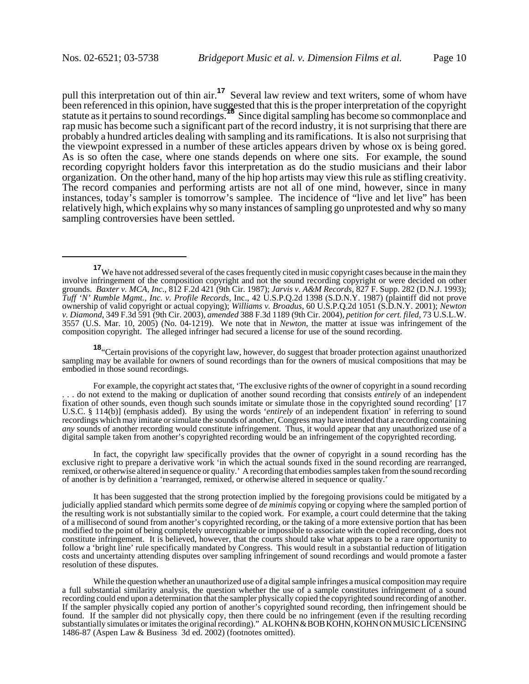pull this interpretation out of thin air.**17** Several law review and text writers, some of whom have been referenced in this opinion, have suggested that this is the proper interpretation of the copyright statute as it pertains to sound recordings.**18** Since digital sampling has become so commonplace and rap music has become such a significant part of the record industry, it is not surprising that there are probably a hundred articles dealing with sampling and its ramifications. It is also not surprising that the viewpoint expressed in a number of these articles appears driven by whose ox is being gored. As is so often the case, where one stands depends on where one sits. For example, the sound recording copyright holders favor this interpretation as do the studio musicians and their labor organization. On the other hand, many of the hip hop artists may view this rule as stifling creativity. The record companies and performing artists are not all of one mind, however, since in many instances, today's sampler is tomorrow's samplee. The incidence of "live and let live" has been relatively high, which explains why so many instances of sampling go unprotested and why so many sampling controversies have been settled.

**<sup>18</sup>**"Certain provisions of the copyright law, however, do suggest that broader protection against unauthorized sampling may be available for owners of sound recordings than for the owners of musical compositions that may be embodied in those sound recordings.

For example, the copyright act states that, 'The exclusive rights of the owner of copyright in a sound recording . . . do not extend to the making or duplication of another sound recording that consists *entirely* of an independent fixation of other sounds, even though such sounds imitate or simulate those in the copyrighted sound recording' [17 U.S.C. § 114(b)] (emphasis added). By using the words '*entirely* of an independent fixation' in referring to sound recordings which may imitate or simulate the sounds of another, Congress may have intended that a recording containing *any* sounds of another recording would constitute infringement. Thus, it would appear that any unauthorized use of a digital sample taken from another's copyrighted recording would be an infringement of the copyrighted recording.

In fact, the copyright law specifically provides that the owner of copyright in a sound recording has the exclusive right to prepare a derivative work 'in which the actual sounds fixed in the sound recording are rearranged, remixed, or otherwise altered in sequence or quality.' A recording that embodies samples taken from the sound recording of another is by definition a 'rearranged, remixed, or otherwise altered in sequence or quality.'

It has been suggested that the strong protection implied by the foregoing provisions could be mitigated by a judicially applied standard which permits some degree of *de minimis* copying or copying where the sampled portion of the resulting work is not substantially similar to the copied work. For example, a court could determine that the taking of a millisecond of sound from another's copyrighted recording, or the taking of a more extensive portion that has been modified to the point of being completely unrecognizable or impossible to associate with the copied recording, does not constitute infringement. It is believed, however, that the courts should take what appears to be a rare opportunity to follow a 'bright line' rule specifically mandated by Congress. This would result in a substantial reduction of litigation costs and uncertainty attending disputes over sampling infringement of sound recordings and would promote a faster resolution of these disputes.

While the question whether an unauthorized use of a digital sample infringes a musical composition may require a full substantial similarity analysis, the question whether the use of a sample constitutes infringement of a sound recording could end upon a determination that the sampler physically copied the copyrighted sound recording of another. If the sampler physically copied any portion of another's copyrighted sound recording, then infringement should be found. If the sampler did not physically copy, then there could be no infringement (even if the resulting recording substantially simulates or imitates the original recording)." ALKOHN & BOBKOHN, KOHNON MUSIC LICENSING 1486-87 (Aspen Law & Business 3d ed. 2002) (footnotes omitted).

**<sup>17</sup>**We have not addressed several of the cases frequently cited in music copyright cases because in the main they involve infringement of the composition copyright and not the sound recording copyright or were decided on other grounds. *Baxter v. MCA, Inc*., 812 F.2d 421 (9th Cir. 1987); *Jarvis v. A&M Records*, 827 F. Supp. 282 (D.N.J. 1993); *Tuff 'N' Rumble Mgmt., Inc. v. Profile Records,* Inc., 42 U.S.P.Q.2d 1398 (S.D.N.Y. 1987) (plaintiff did not prove ownership of valid copyright or actual copying); *Williams v. Broadus*, 60 U.S.P.Q.2d 1051 (S.D.N.Y. 2001); *Newton v. Diamond*, 349 F.3d 591 (9th Cir. 2003), *amended* 388 F.3d 1189 (9th Cir. 2004), *petition for cert. filed*, 73 U.S.L.W. 3557 (U.S. Mar. 10, 2005) (No. 04-1219). We note that in *Newton*, the matter at issue was infringement of the composition copyright. The alleged infringer had secured a license for use of the sound recording.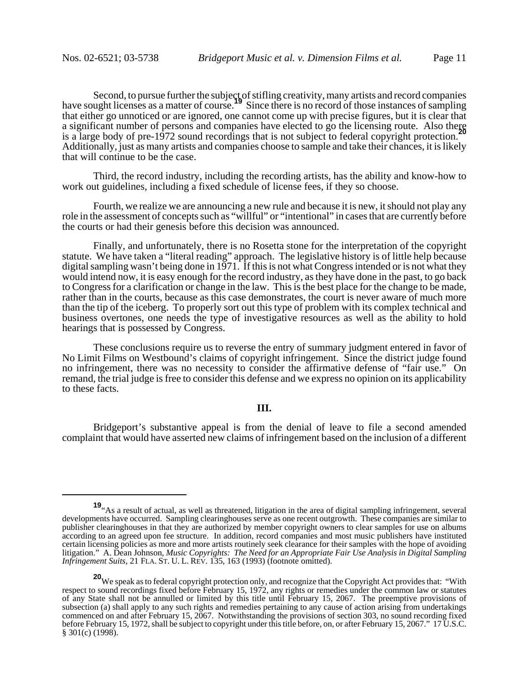Second, to pursue further the subject of stifling creativity, many artists and record companies have sought licenses as a matter of course.<sup>19</sup> Since there is no record of those instances of sampling that either go unnoticed or are ignored, one cannot come up with precise figures, but it is clear that a significant number of persons and companies have elected to go the licensing route. Also there is a large body of pre-1972 sound recordings that is not subject to federal copyright protection.<sup>2</sup> Additionally, just as many artists and companies choose to sample and take their chances, it is likely that will continue to be the case.

Third, the record industry, including the recording artists, has the ability and know-how to work out guidelines, including a fixed schedule of license fees, if they so choose.

Fourth, we realize we are announcing a new rule and because it is new, it should not play any role in the assessment of concepts such as "willful" or "intentional" in cases that are currently before the courts or had their genesis before this decision was announced.

Finally, and unfortunately, there is no Rosetta stone for the interpretation of the copyright statute. We have taken a "literal reading" approach. The legislative history is of little help because digital sampling wasn't being done in 1971. If this is not what Congress intended or is not what they would intend now, it is easy enough for the record industry, as they have done in the past, to go back to Congress for a clarification or change in the law. This is the best place for the change to be made, rather than in the courts, because as this case demonstrates, the court is never aware of much more than the tip of the iceberg. To properly sort out this type of problem with its complex technical and business overtones, one needs the type of investigative resources as well as the ability to hold hearings that is possessed by Congress.

These conclusions require us to reverse the entry of summary judgment entered in favor of No Limit Films on Westbound's claims of copyright infringement. Since the district judge found no infringement, there was no necessity to consider the affirmative defense of "fair use." On remand, the trial judge is free to consider this defense and we express no opinion on its applicability to these facts.

### **III.**

Bridgeport's substantive appeal is from the denial of leave to file a second amended complaint that would have asserted new claims of infringement based on the inclusion of a different

**<sup>19</sup>**"As a result of actual, as well as threatened, litigation in the area of digital sampling infringement, several developments have occurred. Sampling clearinghouses serve as one recent outgrowth. These companies are similar to publisher clearinghouses in that they are authorized by member copyright owners to clear samples for use on albums according to an agreed upon fee structure. In addition, record companies and most music publishers have instituted certain licensing policies as more and more artists routinely seek clearance for their samples with the hope of avoiding litigation." A. Dean Johnson, *Music Copyrights: The Need for an Appropriate Fair Use Analysis in Digital Sampling Infringement Suits*, 21 FLA. ST. U. L. REV. 135, 163 (1993) (footnote omitted).

**<sup>20</sup>**We speak as to federal copyright protection only, and recognize that the Copyright Act provides that: "With respect to sound recordings fixed before February 15, 1972, any rights or remedies under the common law or statutes of any State shall not be annulled or limited by this title until February 15, 2067. The preemptive provisions of subsection (a) shall apply to any such rights and remedies pertaining to any cause of action arising from undertakings commenced on and after February 15, 2067. Notwithstanding the provisions of section 303, no sound recording fixed before February 15, 1972, shall be subject to copyright under this title before, on, or after February 15, 2067." 17 U.S.C. § 301(c) (1998).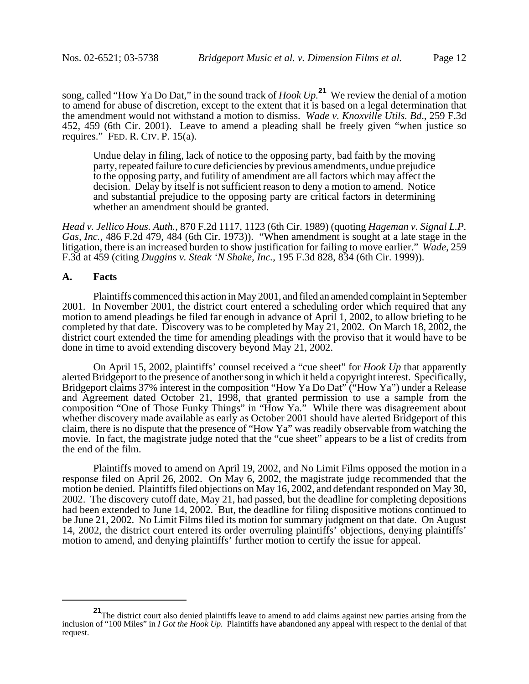song, called "How Ya Do Dat," in the sound track of *Hook Up.***21** We review the denial of a motion to amend for abuse of discretion, except to the extent that it is based on a legal determination that the amendment would not withstand a motion to dismiss. *Wade v. Knoxville Utils. Bd*., 259 F.3d 452, 459 (6th Cir. 2001). Leave to amend a pleading shall be freely given "when justice so requires." FED. R. CIV. P. 15(a).

Undue delay in filing, lack of notice to the opposing party, bad faith by the moving party, repeated failure to cure deficiencies by previous amendments, undue prejudice to the opposing party, and futility of amendment are all factors which may affect the decision. Delay by itself is not sufficient reason to deny a motion to amend. Notice and substantial prejudice to the opposing party are critical factors in determining whether an amendment should be granted.

*Head v. Jellico Hous. Auth.*, 870 F.2d 1117, 1123 (6th Cir. 1989) (quoting *Hageman v. Signal L.P. Gas, Inc.*, 486 F.2d 479, 484 (6th Cir. 1973)). "When amendment is sought at a late stage in the litigation, there is an increased burden to show justification for failing to move earlier." *Wade*, 259 F.3d at 459 (citing *Duggins v. Steak 'N Shake, Inc.*, 195 F.3d 828, 834 (6th Cir. 1999)).

#### **A. Facts**

Plaintiffs commenced this action in May 2001, and filed an amended complaint in September 2001. In November 2001, the district court entered a scheduling order which required that any motion to amend pleadings be filed far enough in advance of April 1, 2002, to allow briefing to be completed by that date. Discovery was to be completed by May 21, 2002. On March 18, 2002, the district court extended the time for amending pleadings with the proviso that it would have to be done in time to avoid extending discovery beyond May 21, 2002.

On April 15, 2002, plaintiffs' counsel received a "cue sheet" for *Hook Up* that apparently alerted Bridgeport to the presence of another song in which it held a copyright interest. Specifically, Bridgeport claims 37% interest in the composition "How Ya Do Dat" ("How Ya") under a Release and Agreement dated October 21, 1998, that granted permission to use a sample from the composition "One of Those Funky Things" in "How Ya." While there was disagreement about whether discovery made available as early as October 2001 should have alerted Bridgeport of this claim, there is no dispute that the presence of "How Ya" was readily observable from watching the movie. In fact, the magistrate judge noted that the "cue sheet" appears to be a list of credits from the end of the film.

Plaintiffs moved to amend on April 19, 2002, and No Limit Films opposed the motion in a response filed on April 26, 2002. On May 6, 2002, the magistrate judge recommended that the motion be denied. Plaintiffs filed objections on May 16, 2002, and defendant responded on May 30, 2002. The discovery cutoff date, May 21, had passed, but the deadline for completing depositions had been extended to June 14, 2002. But, the deadline for filing dispositive motions continued to be June 21, 2002. No Limit Films filed its motion for summary judgment on that date. On August 14, 2002, the district court entered its order overruling plaintiffs' objections, denying plaintiffs' motion to amend, and denying plaintiffs' further motion to certify the issue for appeal.

**<sup>21</sup>**The district court also denied plaintiffs leave to amend to add claims against new parties arising from the inclusion of "100 Miles" in *I Got the Hook Up.* Plaintiffs have abandoned any appeal with respect to the denial of that request.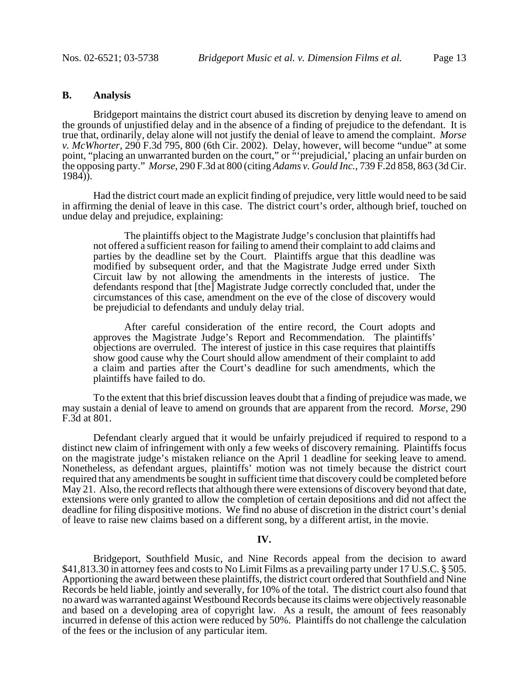## **B. Analysis**

Bridgeport maintains the district court abused its discretion by denying leave to amend on the grounds of unjustified delay and in the absence of a finding of prejudice to the defendant. It is true that, ordinarily, delay alone will not justify the denial of leave to amend the complaint. *Morse v. McWhorter*, 290 F.3d 795, 800 (6th Cir. 2002). Delay, however, will become "undue" at some point, "placing an unwarranted burden on the court," or ""prejudicial,' placing an unfair burden on the opposing party." *Morse*, 290 F.3d at 800 (citing *Adams v. Gould Inc.*, 739 F.2d 858, 863 (3d Cir.  $1984)$ .

Had the district court made an explicit finding of prejudice, very little would need to be said in affirming the denial of leave in this case. The district court's order, although brief, touched on undue delay and prejudice, explaining:

The plaintiffs object to the Magistrate Judge's conclusion that plaintiffs had not offered a sufficient reason for failing to amend their complaint to add claims and parties by the deadline set by the Court. Plaintiffs argue that this deadline was modified by subsequent order, and that the Magistrate Judge erred under Sixth Circuit law by not allowing the amendments in the interests of justice. The defendants respond that [the] Magistrate Judge correctly concluded that, under the circumstances of this case, amendment on the eve of the close of discovery would be prejudicial to defendants and unduly delay trial.

After careful consideration of the entire record, the Court adopts and approves the Magistrate Judge's Report and Recommendation. The plaintiffs' objections are overruled. The interest of justice in this case requires that plaintiffs show good cause why the Court should allow amendment of their complaint to add a claim and parties after the Court's deadline for such amendments, which the plaintiffs have failed to do.

To the extent that this brief discussion leaves doubt that a finding of prejudice was made, we may sustain a denial of leave to amend on grounds that are apparent from the record. *Morse*, 290 F.3d at 801.

Defendant clearly argued that it would be unfairly prejudiced if required to respond to a distinct new claim of infringement with only a few weeks of discovery remaining. Plaintiffs focus on the magistrate judge's mistaken reliance on the April 1 deadline for seeking leave to amend. Nonetheless, as defendant argues, plaintiffs' motion was not timely because the district court required that any amendments be sought in sufficient time that discovery could be completed before May 21. Also, the record reflects that although there were extensions of discovery beyond that date, extensions were only granted to allow the completion of certain depositions and did not affect the deadline for filing dispositive motions. We find no abuse of discretion in the district court's denial of leave to raise new claims based on a different song, by a different artist, in the movie.

#### **IV.**

Bridgeport, Southfield Music, and Nine Records appeal from the decision to award \$41,813.30 in attorney fees and costs to No Limit Films as a prevailing party under 17 U.S.C. § 505. Apportioning the award between these plaintiffs, the district court ordered that Southfield and Nine Records be held liable, jointly and severally, for 10% of the total. The district court also found that no award was warranted against Westbound Records because its claims were objectively reasonable and based on a developing area of copyright law. As a result, the amount of fees reasonably incurred in defense of this action were reduced by 50%. Plaintiffs do not challenge the calculation of the fees or the inclusion of any particular item.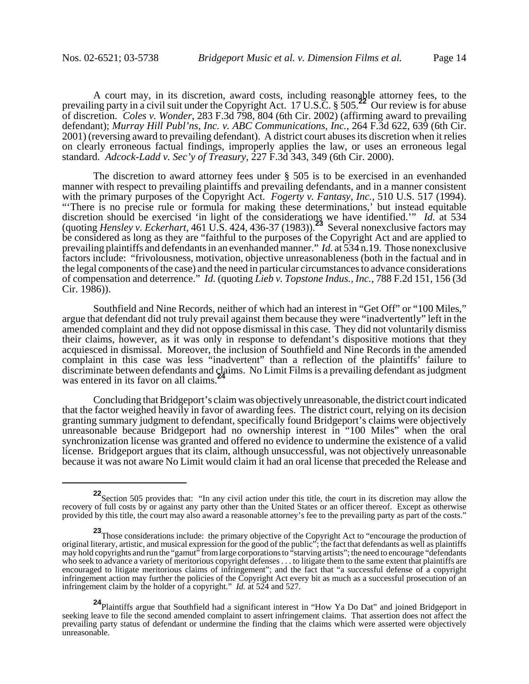A court may, in its discretion, award costs, including reasonable attorney fees, to the prevailing party in a civil suit under the Copyright Act. 17 U.S.C. § 505.**22** Our review is for abuse of discretion. *Coles v. Wonder*, 283 F.3d 798, 804 (6th Cir. 2002) (affirming award to prevailing defendant); *Murray Hill Publ'ns, Inc. v. ABC Communications, Inc.*, 264 F.3d 622, 639 (6th Cir. 2001) (reversing award to prevailing defendant). A district court abuses its discretion when it relies on clearly erroneous factual findings, improperly applies the law, or uses an erroneous legal standard. *Adcock-Ladd v. Sec'y of Treasury*, 227 F.3d 343, 349 (6th Cir. 2000).

The discretion to award attorney fees under § 505 is to be exercised in an evenhanded manner with respect to prevailing plaintiffs and prevailing defendants, and in a manner consistent with the primary purposes of the Copyright Act. *Fogerty v. Fantasy, Inc.*, 510 U.S. 517 (1994). "There is no precise rule or formula for making these determinations,' but instead equitable discretion should be exercised 'in light of the considerations we have identified.'" *Id.* at 534 (quoting *Hensley v. Eckerhart*, 461 U.S. 424, 436-37 (1983)).**23** Several nonexclusive factors may be considered as long as they are "faithful to the purposes of the Copyright Act and are applied to prevailing plaintiffs and defendants in an evenhanded manner." *Id.* at 534 n.19. Those nonexclusive factors include: "frivolousness, motivation, objective unreasonableness (both in the factual and in the legal components of the case) and the need in particular circumstances to advance considerations of compensation and deterrence." *Id.* (quoting *Lieb v. Topstone Indus., Inc.*, 788 F.2d 151, 156 (3d Cir. 1986)).

Southfield and Nine Records, neither of which had an interest in "Get Off" or "100 Miles," argue that defendant did not truly prevail against them because they were "inadvertently" left in the amended complaint and they did not oppose dismissal in this case. They did not voluntarily dismiss their claims, however, as it was only in response to defendant's dispositive motions that they acquiesced in dismissal. Moreover, the inclusion of Southfield and Nine Records in the amended complaint in this case was less "inadvertent" than a reflection of the plaintiffs' failure to discriminate between defendants and claims. No Limit Films is a prevailing defendant as judgment was entered in its favor on all claims.

Concluding that Bridgeport's claim was objectively unreasonable, the district court indicated that the factor weighed heavily in favor of awarding fees. The district court, relying on its decision granting summary judgment to defendant, specifically found Bridgeport's claims were objectively unreasonable because Bridgeport had no ownership interest in "100 Miles" when the oral synchronization license was granted and offered no evidence to undermine the existence of a valid license. Bridgeport argues that its claim, although unsuccessful, was not objectively unreasonable because it was not aware No Limit would claim it had an oral license that preceded the Release and

**<sup>22</sup>**Section 505 provides that: "In any civil action under this title, the court in its discretion may allow the recovery of full costs by or against any party other than the United States or an officer thereof. Except as otherwise provided by this title, the court may also award a reasonable attorney's fee to the prevailing party as part of the costs."

**<sup>23</sup>**Those considerations include: the primary objective of the Copyright Act to "encourage the production of original literary, artistic, and musical expression for the good of the public"; the fact that defendants as well as plaintiffs may hold copyrights and run the "gamut" from large corporations to "starving artists"; the need to encourage "defendants who seek to advance a variety of meritorious copyright defenses . . . to litigate them to the same extent that plaintiffs are encouraged to litigate meritorious claims of infringement"; and the fact that "a successful defense of a copyright infringement action may further the policies of the Copyright Act every bit as much as a successful prosecution of an infringement claim by the holder of a copyright." *Id.* at 524 and 527.

**<sup>24</sup>** Plaintiffs argue that Southfield had a significant interest in "How Ya Do Dat" and joined Bridgeport in seeking leave to file the second amended complaint to assert infringement claims. That assertion does not affect the prevailing party status of defendant or undermine the finding that the claims which were asserted were objectively unreasonable.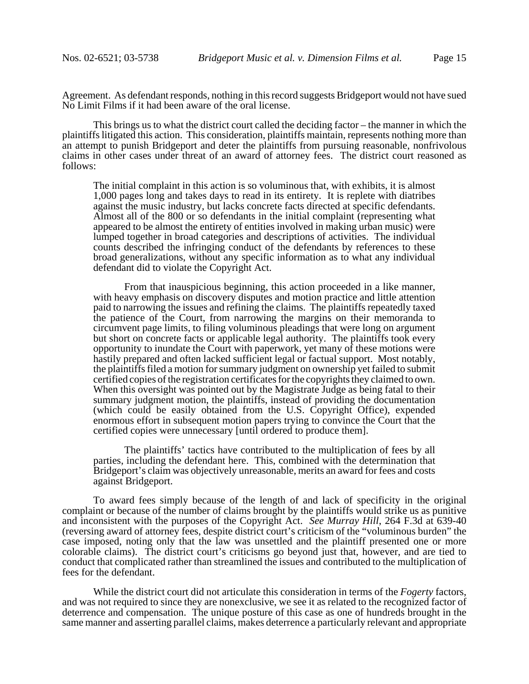Agreement. As defendant responds, nothing in this record suggests Bridgeport would not have sued No Limit Films if it had been aware of the oral license.

This brings us to what the district court called the deciding factor – the manner in which the plaintiffs litigated this action. This consideration, plaintiffs maintain, represents nothing more than an attempt to punish Bridgeport and deter the plaintiffs from pursuing reasonable, nonfrivolous claims in other cases under threat of an award of attorney fees. The district court reasoned as follows:

The initial complaint in this action is so voluminous that, with exhibits, it is almost 1,000 pages long and takes days to read in its entirety. It is replete with diatribes against the music industry, but lacks concrete facts directed at specific defendants. Almost all of the 800 or so defendants in the initial complaint (representing what appeared to be almost the entirety of entities involved in making urban music) were lumped together in broad categories and descriptions of activities. The individual counts described the infringing conduct of the defendants by references to these broad generalizations, without any specific information as to what any individual defendant did to violate the Copyright Act.

From that inauspicious beginning, this action proceeded in a like manner, with heavy emphasis on discovery disputes and motion practice and little attention paid to narrowing the issues and refining the claims. The plaintiffs repeatedly taxed the patience of the Court, from narrowing the margins on their memoranda to circumvent page limits, to filing voluminous pleadings that were long on argument but short on concrete facts or applicable legal authority. The plaintiffs took every opportunity to inundate the Court with paperwork, yet many of these motions were hastily prepared and often lacked sufficient legal or factual support. Most notably, the plaintiffs filed a motion for summary judgment on ownership yet failed to submit certified copies of the registration certificates for the copyrights they claimed to own. When this oversight was pointed out by the Magistrate Judge as being fatal to their summary judgment motion, the plaintiffs, instead of providing the documentation (which could be easily obtained from the U.S. Copyright Office), expended enormous effort in subsequent motion papers trying to convince the Court that the certified copies were unnecessary [until ordered to produce them].

The plaintiffs' tactics have contributed to the multiplication of fees by all parties, including the defendant here. This, combined with the determination that Bridgeport's claim was objectively unreasonable, merits an award for fees and costs against Bridgeport.

To award fees simply because of the length of and lack of specificity in the original complaint or because of the number of claims brought by the plaintiffs would strike us as punitive and inconsistent with the purposes of the Copyright Act. *See Murray Hill*, 264 F.3d at 639-40 (reversing award of attorney fees, despite district court's criticism of the "voluminous burden" the case imposed, noting only that the law was unsettled and the plaintiff presented one or more colorable claims). The district court's criticisms go beyond just that, however, and are tied to conduct that complicated rather than streamlined the issues and contributed to the multiplication of fees for the defendant.

While the district court did not articulate this consideration in terms of the *Fogerty* factors, and was not required to since they are nonexclusive, we see it as related to the recognized factor of deterrence and compensation. The unique posture of this case as one of hundreds brought in the same manner and asserting parallel claims, makes deterrence a particularly relevant and appropriate